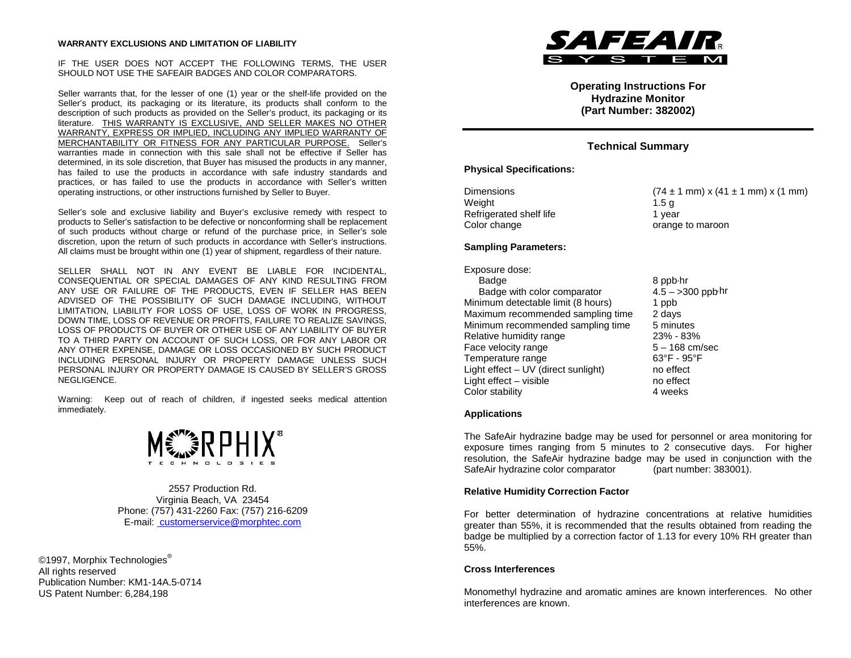#### **WARRANTY EXCLUSIONS AND LIMITATION OF LIABILITY**

#### IF THE USER DOES NOT ACCEPT THE FOLLOWING TERMS, THE USER SHOULD NOT USE THE SAFEAIR BADGES AND COLOR COMPARATORS.

Seller warrants that, for the lesser of one (1) year or the shelf-life provided on the Seller's product, its packaging or its literature, its products shall conform to the description of such products as provided on the Seller's product, its packaging or its literature. THIS WARRANTY IS EXCLUSIVE, AND SELLER MAKES NO OTHER WARRANTY, EXPRESS OR IMPLIED, INCLUDING ANY IMPLIED WARRANTY OF MERCHANTABILITY OR FITNESS FOR ANY PARTICULAR PURPOSE. Seller's warranties made in connection with this sale shall not be effective if Seller has determined, in its sole discretion, that Buyer has misused the products in any manner, has failed to use the products in accordance with safe industry standards and practices, or has failed to use the products in accordance with Seller's written operating instructions, or other instructions furnished by Seller to Buyer.

Seller's sole and exclusive liability and Buyer's exclusive remedy with respect to products to Seller's satisfaction to be defective or nonconforming shall be replacement of such products without charge or refund of the purchase price, in Seller's sole discretion, upon the return of such products in accordance with Seller's instructions. All claims must be brought within one (1) year of shipment, regardless of their nature.

SELLER SHALL NOT IN ANY EVENT BE LIABLE FOR INCIDENTAL, CONSEQUENTIAL OR SPECIAL DAMAGES OF ANY KIND RESULTING FROM ANY USE OR FAILURE OF THE PRODUCTS, EVEN IF SELLER HAS BEEN ADVISED OF THE POSSIBILITY OF SUCH DAMAGE INCLUDING, WITHOUT LIMITATION, LIABILITY FOR LOSS OF USE, LOSS OF WORK IN PROGRESS, DOWN TIME, LOSS OF REVENUE OR PROFITS, FAILURE TO REALIZE SAVINGS, LOSS OF PRODUCTS OF BUYER OR OTHER USE OF ANY LIABILITY OF BUYER TO A THIRD PARTY ON ACCOUNT OF SUCH LOSS, OR FOR ANY LABOR OR ANY OTHER EXPENSE, DAMAGE OR LOSS OCCASIONED BY SUCH PRODUCT INCLUDING PERSONAL INJURY OR PROPERTY DAMAGE UNLESS SUCH PERSONAL INJURY OR PROPERTY DAMAGE IS CAUSED BY SELLER'S GROSS NEGLIGENCE.

Warning: Keep out of reach of children, if ingested seeks medical attention immediately.



2557 Production Rd. Virginia Beach, VA 23454 Phone: (757) 431-2260 Fax: (757) 216-6209 E-mail: customerservice@morphtec.com

©1997, Morphix Technologies® All rights reserved Publication Number: KM1-14A.5-0714 US Patent Number: 6,284,198



**Operating Instructions For Hydrazine Monitor (Part Number: 382002)**

# **Technical Summary**

# **Physical Specifications:**

| <b>Dimensions</b>       | $(74 \pm 1 \text{ mm}) x$ |
|-------------------------|---------------------------|
| Weight                  | 1.5a                      |
| Refrigerated shelf life | 1 vear                    |
| Color change            | orange to man             |

 $(74 \pm 1 \text{ mm}) \times (41 \pm 1 \text{ mm}) \times (1 \text{ mm})$ 1 year orange to maroon

# **Sampling Parameters:**

Exposure dose: Badge<br>Badge with color comparator 8 ppb∙hr<br>4.5 – >300 ppb∙hr Badge with color comparator Minimum detectable limit (8 hours) 1 ppb<br>Maximum recommended sampling time 2 days Maximum recommended sampling time Minimum recommended sampling time 5 minutes Relative humidity range  $23\%$  - 83%<br>Face velocity range  $5 - 168$  cm/sec Face velocity range  $5 - 168$  cm/<br>Temperature range  $63^\circ$ F - 95°F Temperature range Light effect – UV (direct sunlight) no effect Light effect – visible no effect Color stability 4 weeks

## **Applications**

The SafeAir hydrazine badge may be used for personnel or area monitoring for exposure times ranging from 5 minutes to 2 consecutive days. For higher resolution, the SafeAir hydrazine badge may be used in conjunction with the SafeAir hydrazine color comparator (part number: 383001).

## **Relative Humidity Correction Factor**

For better determination of hydrazine concentrations at relative humidities greater than 55%, it is recommended that the results obtained from reading the badge be multiplied by a correction factor of 1.13 for every 10% RH greater than 55%.

## **Cross Interferences**

Monomethyl hydrazine and aromatic amines are known interferences. No other interferences are known.